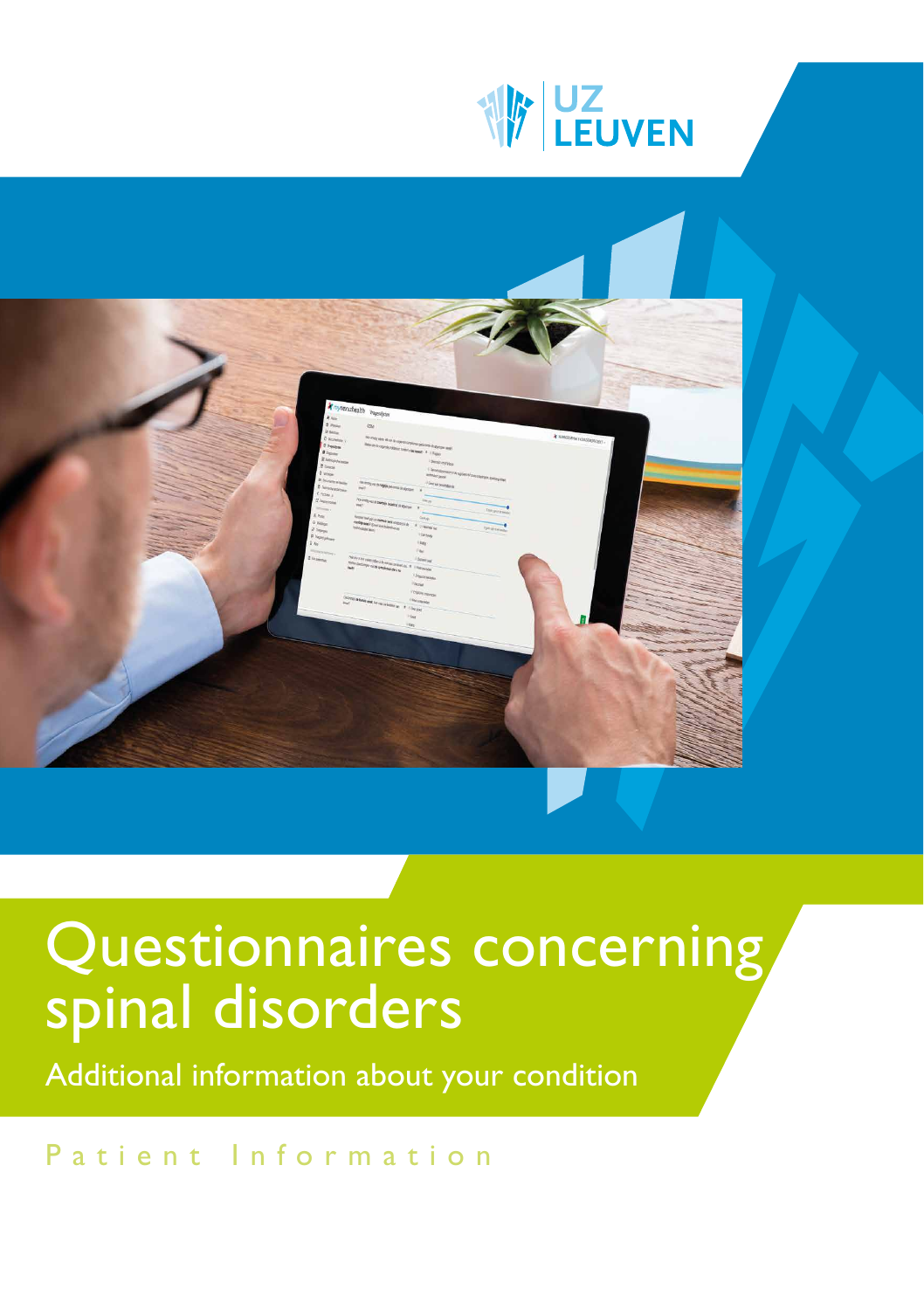



# Questionnaires concerning spinal disorders

Additional information about your condition

Patient Information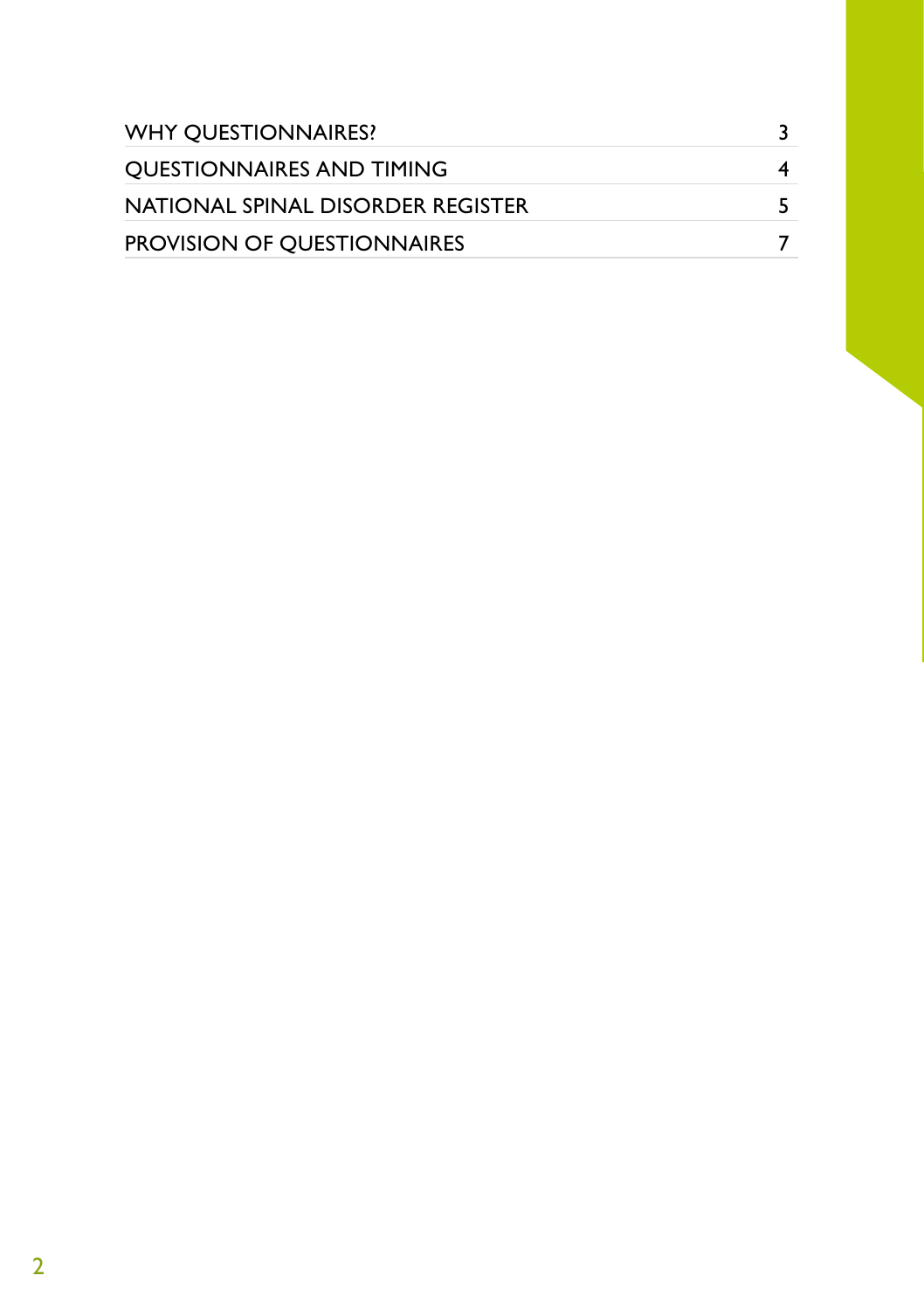| <b>WHY OUESTIONNAIRES?</b>         |  |
|------------------------------------|--|
| <b>OUESTIONNAIRES AND TIMING</b>   |  |
| NATIONAL SPINAL DISORDER REGISTER  |  |
| <b>PROVISION OF OUESTIONNAIRES</b> |  |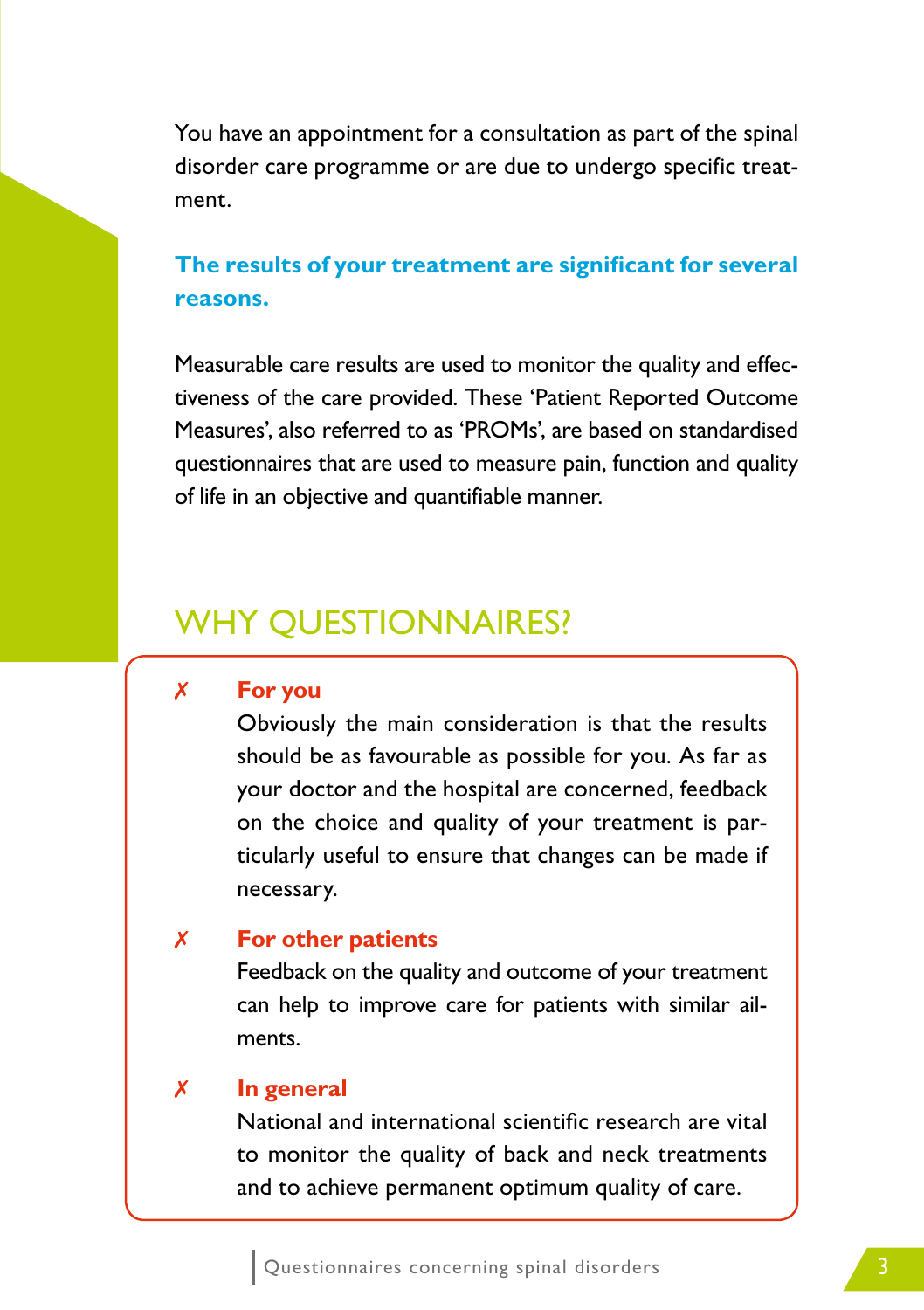You have an appointment for a consultation as part of the spinal disorder care programme or are due to undergo specific treatment.

## **The results of your treatment are significant for several reasons.**

Measurable care results are used to monitor the quality and effectiveness of the care provided. These 'Patient Reported Outcome Measures', also referred to as 'PROMs', are based on standardised questionnaires that are used to measure pain, function and quality of life in an objective and quantifiable manner.

## WHY QUESTIONNAIRES?

#### ✗ **For you**

Obviously the main consideration is that the results should be as favourable as possible for you. As far as your doctor and the hospital are concerned, feedback on the choice and quality of your treatment is particularly useful to ensure that changes can be made if necessary.

#### ✗ **For other patients**

Feedback on the quality and outcome of your treatment can help to improve care for patients with similar ailments.

#### ✗ **In general**

National and international scientific research are vital to monitor the quality of back and neck treatments and to achieve permanent optimum quality of care.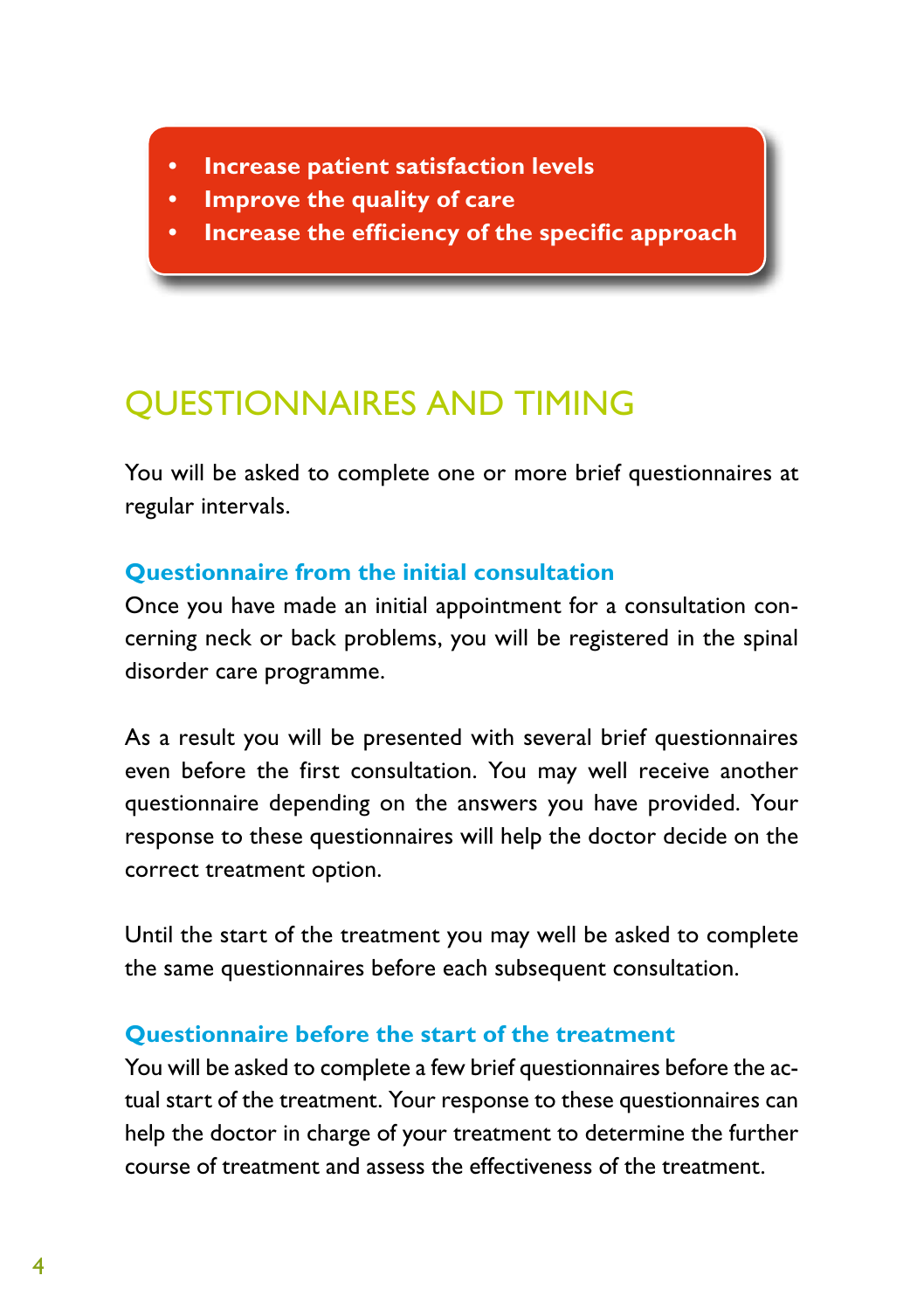- **• Increase patient satisfaction levels**
- **• Improve the quality of care**
- **• Increase the efficiency of the specific approach**

# QUESTIONNAIRES AND TIMING

You will be asked to complete one or more brief questionnaires at regular intervals.

## **Questionnaire from the initial consultation**

Once you have made an initial appointment for a consultation concerning neck or back problems, you will be registered in the spinal disorder care programme.

As a result you will be presented with several brief questionnaires even before the first consultation. You may well receive another questionnaire depending on the answers you have provided. Your response to these questionnaires will help the doctor decide on the correct treatment option.

Until the start of the treatment you may well be asked to complete the same questionnaires before each subsequent consultation.

### **Questionnaire before the start of the treatment**

You will be asked to complete a few brief questionnaires before the actual start of the treatment. Your response to these questionnaires can help the doctor in charge of your treatment to determine the further course of treatment and assess the effectiveness of the treatment.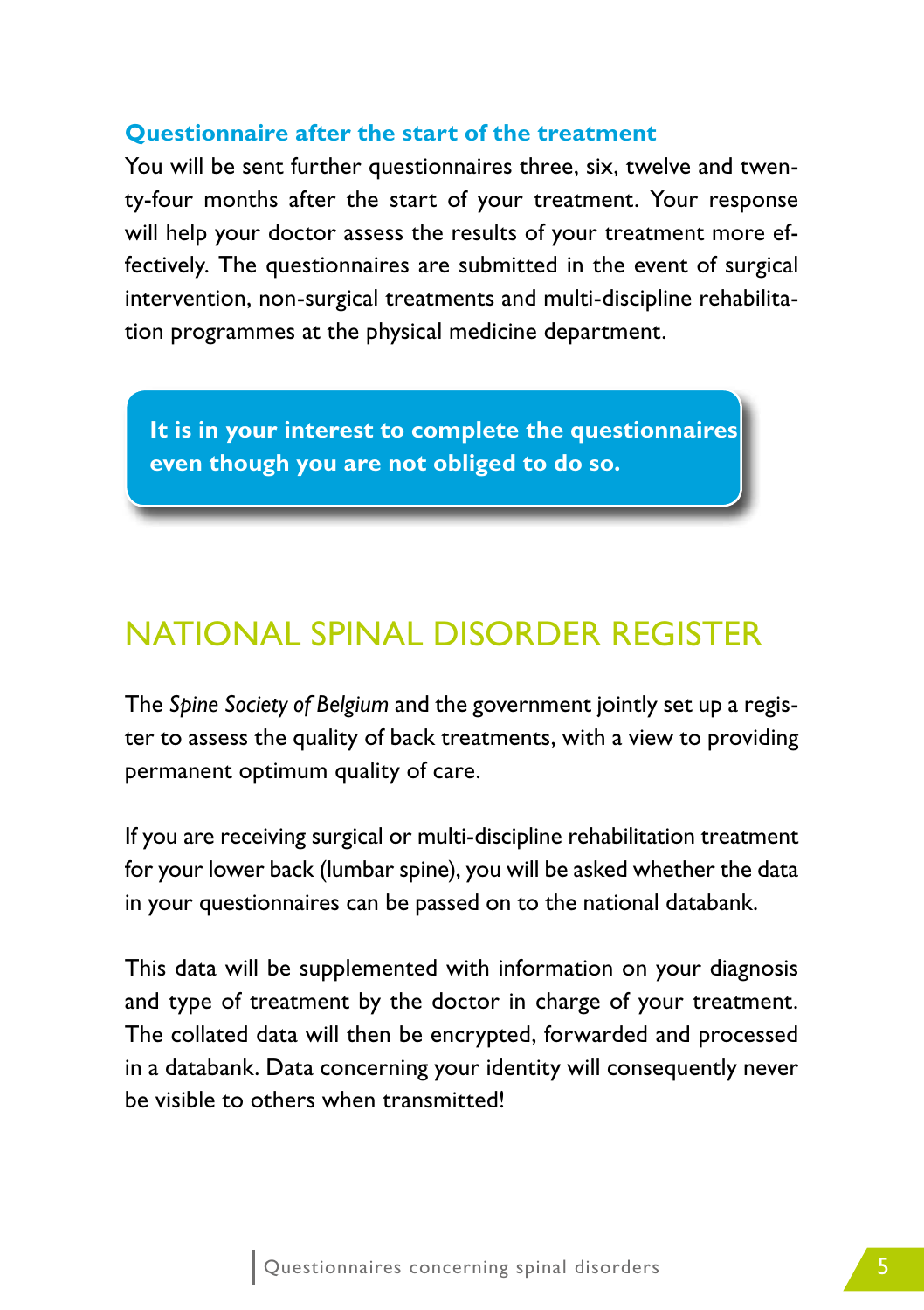#### **Questionnaire after the start of the treatment**

You will be sent further questionnaires three, six, twelve and twenty-four months after the start of your treatment. Your response will help your doctor assess the results of your treatment more effectively. The questionnaires are submitted in the event of surgical intervention, non-surgical treatments and multi-discipline rehabilitation programmes at the physical medicine department.

**It is in your interest to complete the questionnaires even though you are not obliged to do so.**

## NATIONAL SPINAL DISORDER REGISTER

The *Spine Society of Belgium* and the government jointly set up a register to assess the quality of back treatments, with a view to providing permanent optimum quality of care.

If you are receiving surgical or multi-discipline rehabilitation treatment for your lower back (lumbar spine), you will be asked whether the data in your questionnaires can be passed on to the national databank.

This data will be supplemented with information on your diagnosis and type of treatment by the doctor in charge of your treatment. The collated data will then be encrypted, forwarded and processed in a databank. Data concerning your identity will consequently never be visible to others when transmitted!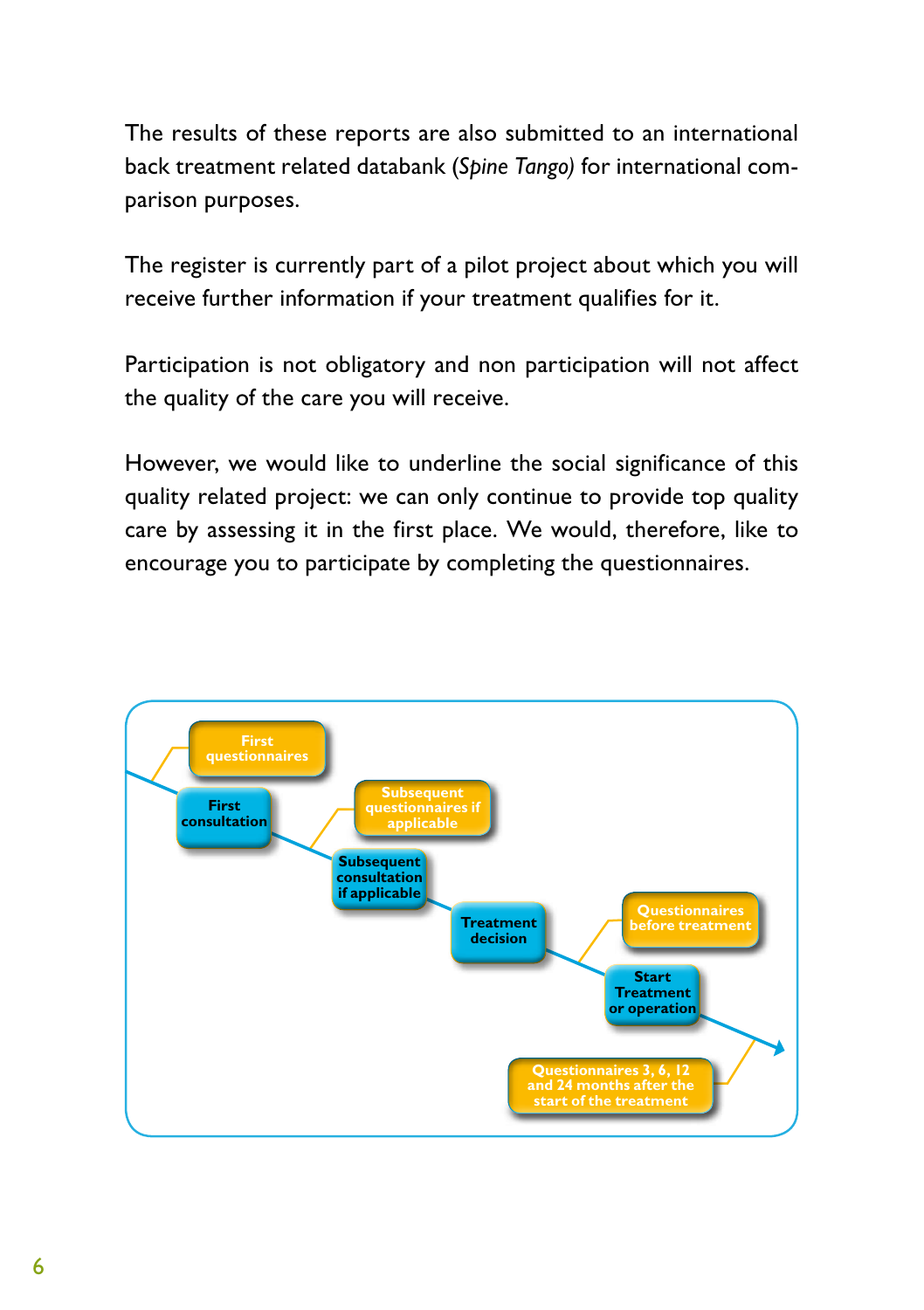The results of these reports are also submitted to an international back treatment related databank (*Spine Tango)* for international comparison purposes.

The register is currently part of a pilot project about which you will receive further information if your treatment qualifies for it.

Participation is not obligatory and non participation will not affect the quality of the care you will receive.

However, we would like to underline the social significance of this quality related project: we can only continue to provide top quality care by assessing it in the first place. We would, therefore, like to encourage you to participate by completing the questionnaires.

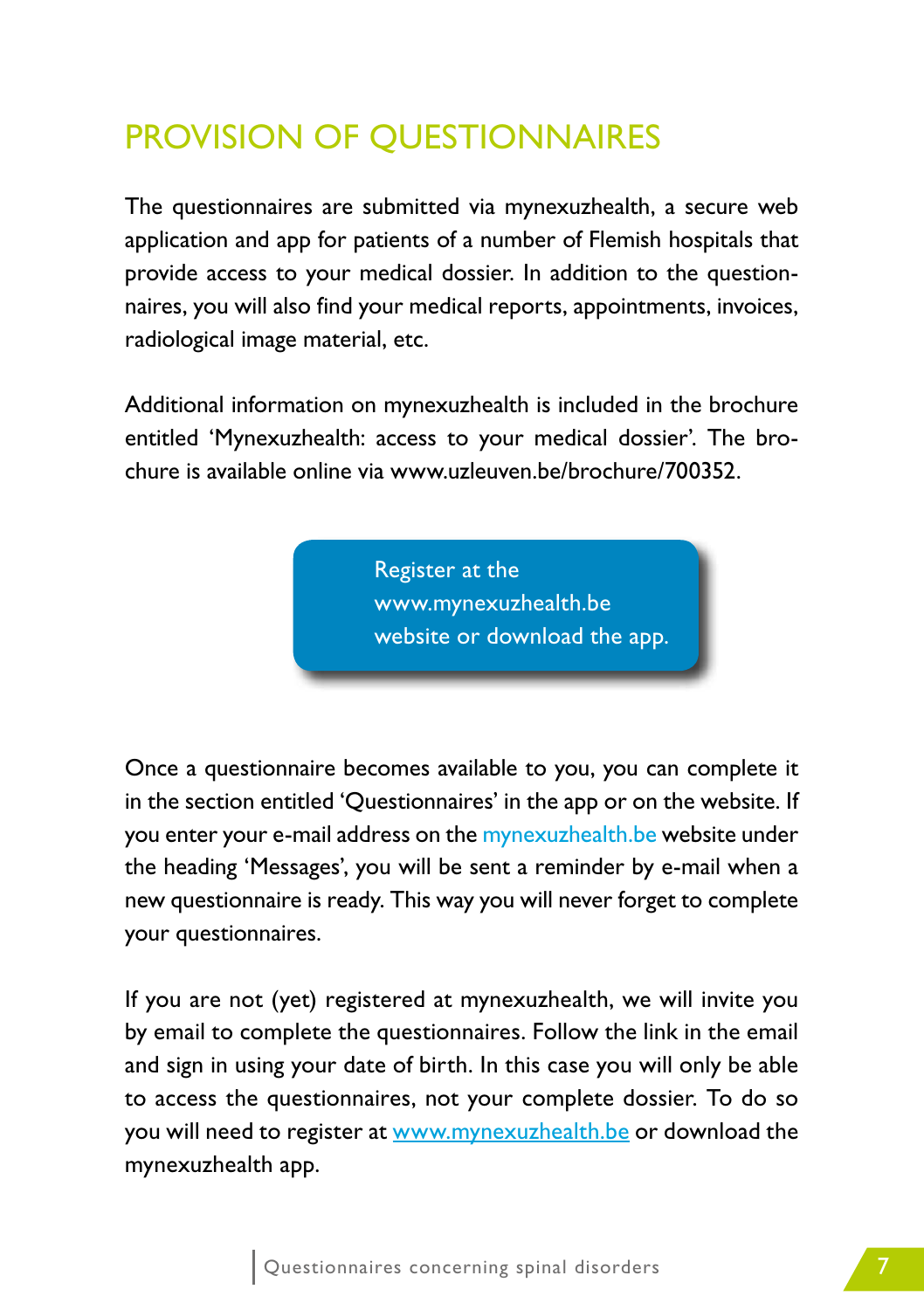# PROVISION OF QUESTIONNAIRES

The questionnaires are submitted via mynexuzhealth, a secure web application and app for patients of a number of Flemish hospitals that provide access to your medical dossier. In addition to the questionnaires, you will also find your medical reports, appointments, invoices, radiological image material, etc.

Additional information on mynexuzhealth is included in the brochure entitled 'Mynexuzhealth: access to your medical dossier'. The brochure is available online via www.uzleuven.be/brochure/700352.

> Register at the www.mynexuzhealth.be website or download the app.

Once a questionnaire becomes available to you, you can complete it in the section entitled 'Questionnaires' in the app or on the website. If you enter your e-mail address on the [mynexuzhealth.be](https://mynexuzhealth.be) website under the heading 'Messages', you will be sent a reminder by e-mail when a new questionnaire is ready. This way you will never forget to complete your questionnaires.

If you are not (yet) registered at mynexuzhealth, we will invite you by email to complete the questionnaires. Follow the link in the email and sign in using your date of birth. In this case you will only be able to access the questionnaires, not your complete dossier. To do so you will need to register at www.mynexuzhealth.be or download the mynexuzhealth app.